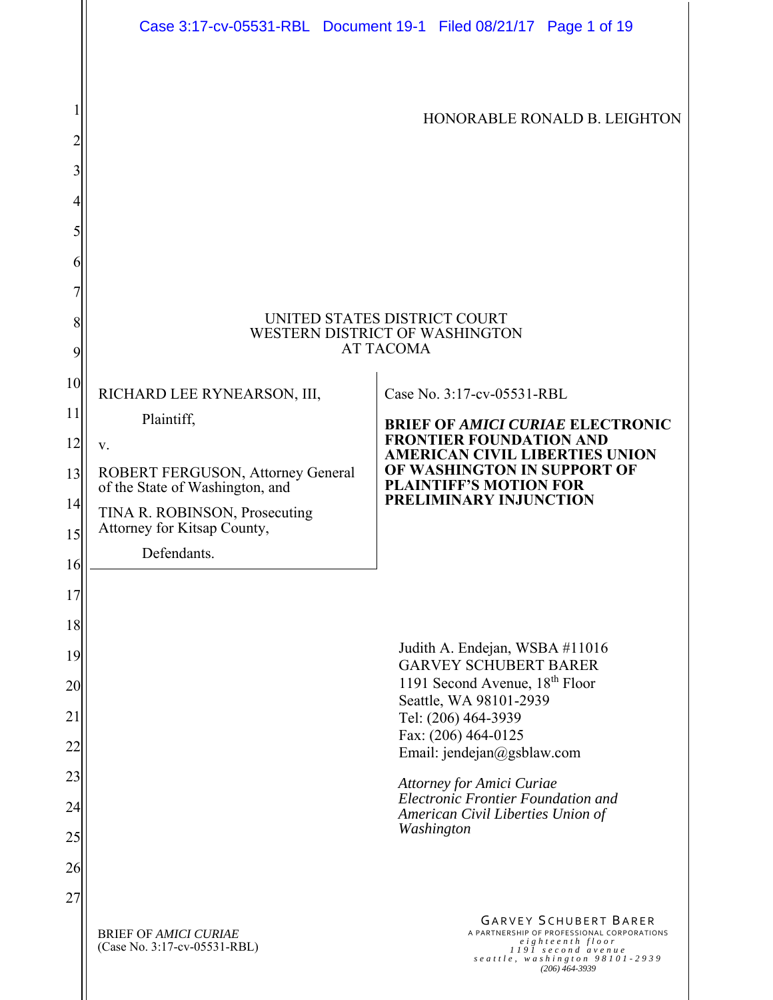|          |                                                                      | Case 3:17-cv-05531-RBL Document 19-1 Filed 08/21/17 Page 1 of 19                                                                                                           |
|----------|----------------------------------------------------------------------|----------------------------------------------------------------------------------------------------------------------------------------------------------------------------|
| 2        |                                                                      | HONORABLE RONALD B. LEIGHTON                                                                                                                                               |
| 3        |                                                                      |                                                                                                                                                                            |
| 4        |                                                                      |                                                                                                                                                                            |
| 5<br>6   |                                                                      |                                                                                                                                                                            |
| 7        |                                                                      |                                                                                                                                                                            |
| 8<br>9   |                                                                      | UNITED STATES DISTRICT COURT<br>WESTERN DISTRICT OF WASHINGTON<br><b>AT TACOMA</b>                                                                                         |
| 10       | RICHARD LEE RYNEARSON, III,                                          | Case No. 3:17-cv-05531-RBL                                                                                                                                                 |
| 11       | Plaintiff,                                                           | <b>BRIEF OF AMICI CURIAE ELECTRONIC</b>                                                                                                                                    |
| 12       | V.                                                                   | <b>FRONTIER FOUNDATION AND</b><br><b>AMERICAN CIVIL LIBERTIES UNION</b>                                                                                                    |
| 13       | ROBERT FERGUSON, Attorney General<br>of the State of Washington, and | OF WASHINGTON IN SUPPORT OF<br><b>PLAINTIFF'S MOTION FOR</b>                                                                                                               |
| 14       | TINA R. ROBINSON, Prosecuting<br>Attorney for Kitsap County,         | PRELIMINARY INJUNCTION                                                                                                                                                     |
| 15       | Defendants.                                                          |                                                                                                                                                                            |
| 16       |                                                                      |                                                                                                                                                                            |
| 17       |                                                                      |                                                                                                                                                                            |
| 18<br>19 |                                                                      | Judith A. Endejan, WSBA #11016                                                                                                                                             |
| 20       |                                                                      | <b>GARVEY SCHUBERT BARER</b><br>1191 Second Avenue, 18 <sup>th</sup> Floor                                                                                                 |
| 21       |                                                                      | Seattle, WA 98101-2939<br>Tel: (206) 464-3939                                                                                                                              |
| 22       |                                                                      | Fax: (206) 464-0125<br>Email: jendejan@gsblaw.com                                                                                                                          |
| 23       |                                                                      | Attorney for Amici Curiae                                                                                                                                                  |
| 24       |                                                                      | Electronic Frontier Foundation and<br>American Civil Liberties Union of                                                                                                    |
| 25       |                                                                      | Washington                                                                                                                                                                 |
| 26       |                                                                      |                                                                                                                                                                            |
| 27       |                                                                      |                                                                                                                                                                            |
|          | <b>BRIEF OF AMICI CURIAE</b><br>(Case No. 3:17-cv-05531-RBL)         | <b>GARVEY SCHUBERT BARER</b><br>A PARTNERSHIP OF PROFESSIONAL CORPORATIONS<br>eighteenth floor<br>1191 second avenue<br>seattle, washington 98101-2939<br>$(206)$ 464-3939 |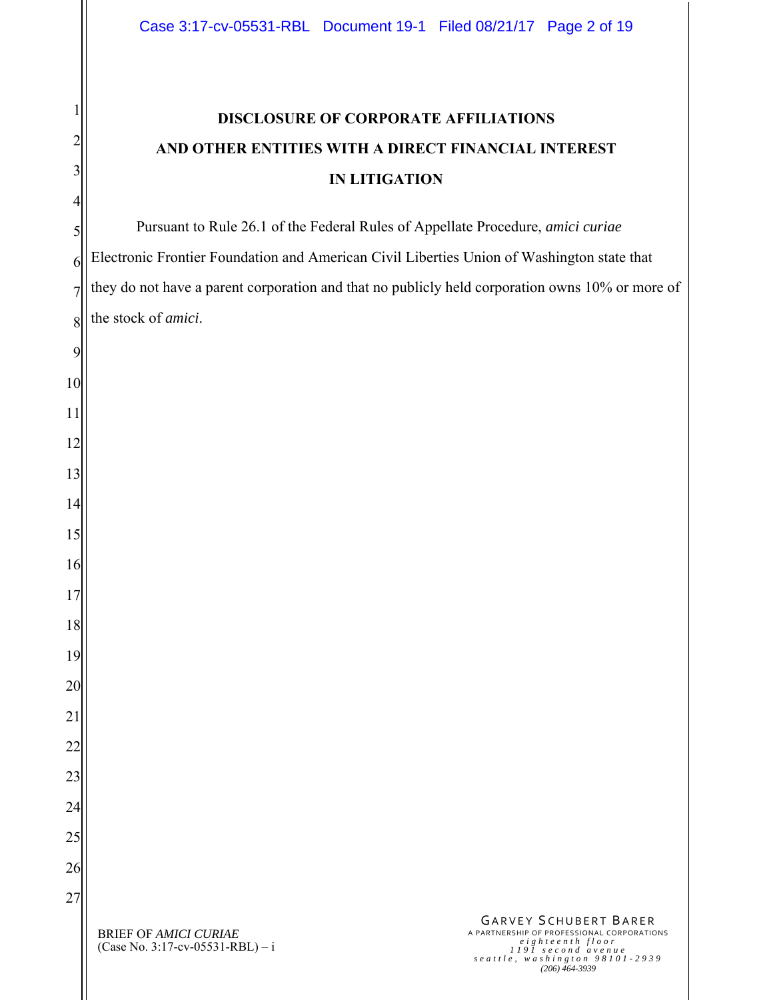## **DISCLOSURE OF CORPORATE AFFILIATIONS AND OTHER ENTITIES WITH A DIRECT FINANCIAL INTEREST IN LITIGATION**

Pursuant to Rule 26.1 of the Federal Rules of Appellate Procedure, *amici curiae* Electronic Frontier Foundation and American Civil Liberties Union of Washington state that they do not have a parent corporation and that no publicly held corporation owns 10% or more of the stock of *amici*.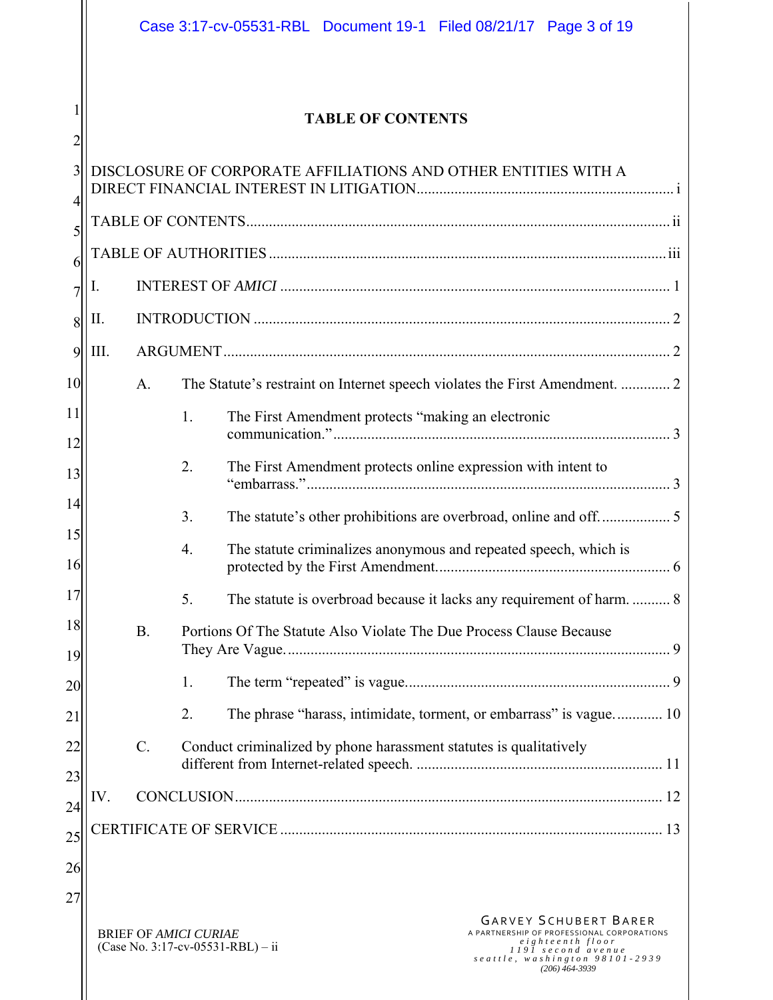|             |      |             | Case 3:17-cv-05531-RBL Document 19-1 Filed 08/21/17 Page 3 of 19                                                                                                                                                                                |
|-------------|------|-------------|-------------------------------------------------------------------------------------------------------------------------------------------------------------------------------------------------------------------------------------------------|
| 2           |      |             | <b>TABLE OF CONTENTS</b>                                                                                                                                                                                                                        |
| 3<br>4<br>5 |      |             | DISCLOSURE OF CORPORATE AFFILIATIONS AND OTHER ENTITIES WITH A                                                                                                                                                                                  |
| 6           |      |             |                                                                                                                                                                                                                                                 |
| 7           | I.   |             |                                                                                                                                                                                                                                                 |
| 8           | П.   |             |                                                                                                                                                                                                                                                 |
| 9           | III. |             |                                                                                                                                                                                                                                                 |
| 10          |      | A.          | The Statute's restraint on Internet speech violates the First Amendment.  2                                                                                                                                                                     |
| 11<br>12    |      |             | 1.<br>The First Amendment protects "making an electronic                                                                                                                                                                                        |
| 13          |      |             | The First Amendment protects online expression with intent to<br>2.                                                                                                                                                                             |
| 14<br>15    |      |             | 3.                                                                                                                                                                                                                                              |
| 16          |      |             | The statute criminalizes anonymous and repeated speech, which is<br>4.                                                                                                                                                                          |
| 17          |      |             | 5.<br>The statute is overbroad because it lacks any requirement of harm 8                                                                                                                                                                       |
| 18<br>19    |      | B.          | Portions Of The Statute Also Violate The Due Process Clause Because                                                                                                                                                                             |
| 20          |      |             | 1.                                                                                                                                                                                                                                              |
| 21          |      |             | The phrase "harass, intimidate, torment, or embarrass" is vague 10<br>2.                                                                                                                                                                        |
| 22          |      | $C_{\cdot}$ | Conduct criminalized by phone harassment statutes is qualitatively                                                                                                                                                                              |
| 23          | IV.  |             |                                                                                                                                                                                                                                                 |
| 24<br>25    |      |             |                                                                                                                                                                                                                                                 |
| 26          |      |             |                                                                                                                                                                                                                                                 |
| 27          |      |             |                                                                                                                                                                                                                                                 |
|             |      |             | <b>GARVEY SCHUBERT BARER</b><br>A PARTNERSHIP OF PROFESSIONAL CORPORATIONS<br><b>BRIEF OF AMICI CURIAE</b><br>eighteenth floor<br>(Case No. 3:17-cv-05531-RBL) - ii<br>1191 second avenue<br>seattle, washington 98101-2939<br>$(206)$ 464-3939 |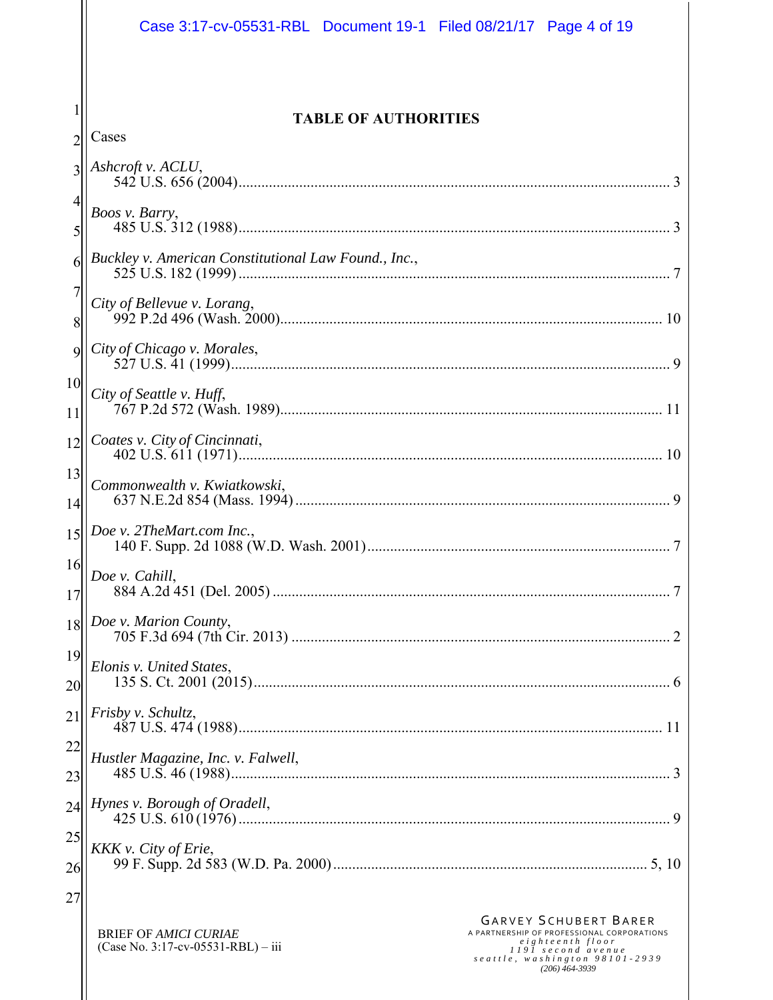|                 | Case 3:17-cv-05531-RBL Document 19-1 Filed 08/21/17 Page 4 of 19                                                                                                                                                                                 |
|-----------------|--------------------------------------------------------------------------------------------------------------------------------------------------------------------------------------------------------------------------------------------------|
|                 |                                                                                                                                                                                                                                                  |
| $\overline{2}$  | <b>TABLE OF AUTHORITIES</b><br>Cases                                                                                                                                                                                                             |
| 3               | Ashcroft v. ACLU,                                                                                                                                                                                                                                |
|                 |                                                                                                                                                                                                                                                  |
| 5               | Boos v. Barry,                                                                                                                                                                                                                                   |
| 6               | Buckley v. American Constitutional Law Found., Inc.,                                                                                                                                                                                             |
| 7<br>8          | City of Bellevue v. Lorang,                                                                                                                                                                                                                      |
| $\mathbf{Q}$    | City of Chicago v. Morales,                                                                                                                                                                                                                      |
| 10              | City of Seattle v. Huff,                                                                                                                                                                                                                         |
| 11              |                                                                                                                                                                                                                                                  |
| 12              | Coates v. City of Cincinnati,                                                                                                                                                                                                                    |
| 13<br>14        | Commonwealth v. Kwiatkowski,<br>9                                                                                                                                                                                                                |
| 15              | Doe v. 2TheMart.com Inc.,                                                                                                                                                                                                                        |
| 16<br>17        | Doe v. Cahill,                                                                                                                                                                                                                                   |
| 18              | Doe v. Marion County,                                                                                                                                                                                                                            |
| 19<br>20        | Elonis v. United States,                                                                                                                                                                                                                         |
| $\overline{21}$ | Frisby v. Schultz,                                                                                                                                                                                                                               |
| 22<br>23        | Hustler Magazine, Inc. v. Falwell,                                                                                                                                                                                                               |
| 24              | Hynes v. Borough of Oradell,                                                                                                                                                                                                                     |
| 25              | KKK v. City of Erie,                                                                                                                                                                                                                             |
| 26              |                                                                                                                                                                                                                                                  |
| 27              |                                                                                                                                                                                                                                                  |
|                 | <b>GARVEY SCHUBERT BARER</b><br>A PARTNERSHIP OF PROFESSIONAL CORPORATIONS<br><b>BRIEF OF AMICI CURIAE</b><br>eighteenth floor<br>(Case No. 3:17-cv-05531-RBL) – iii<br>1191 second avenue<br>seattle, washington 98101-2939<br>$(206)$ 464-3939 |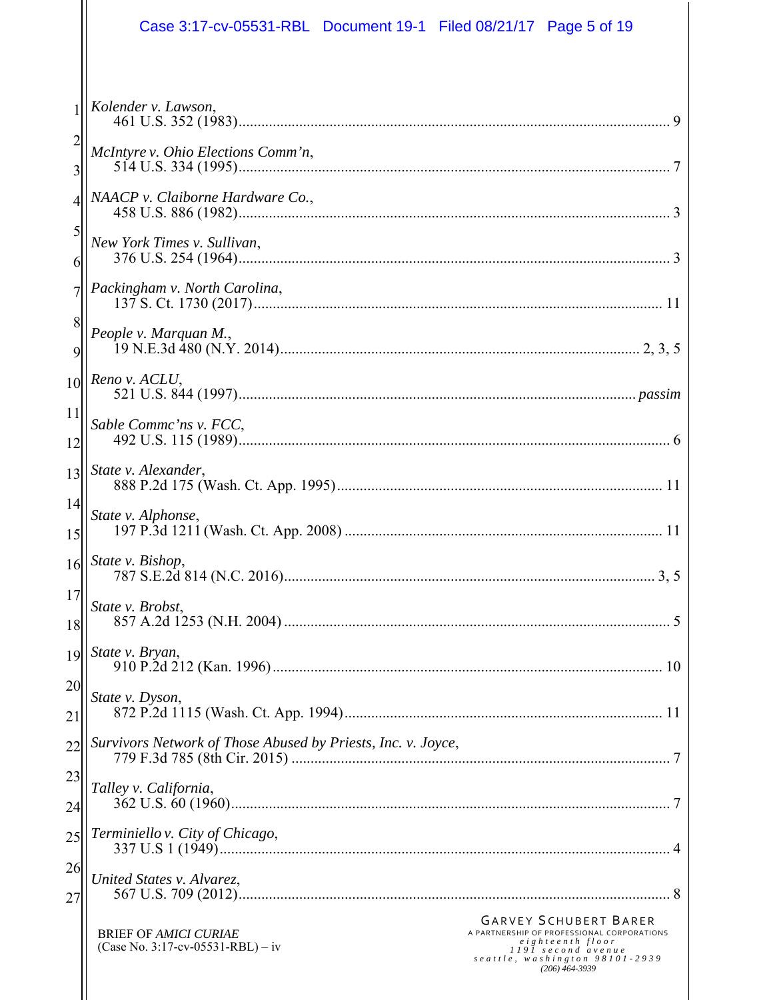| Case 3:17-cv-05531-RBL Document 19-1 Filed 08/21/17 Page 5 of 19                                                                                                                                                                                             |
|--------------------------------------------------------------------------------------------------------------------------------------------------------------------------------------------------------------------------------------------------------------|
| Kolender v. Lawson,                                                                                                                                                                                                                                          |
| McIntyre v. Ohio Elections Comm'n,                                                                                                                                                                                                                           |
| NAACP v. Claiborne Hardware Co.,                                                                                                                                                                                                                             |
| New York Times v. Sullivan,                                                                                                                                                                                                                                  |
| Packingham v. North Carolina,                                                                                                                                                                                                                                |
| People v. Marquan M.,                                                                                                                                                                                                                                        |
| Reno v. ACLU,                                                                                                                                                                                                                                                |
| Sable Commc'ns v. FCC,                                                                                                                                                                                                                                       |
| State v. Alexander,                                                                                                                                                                                                                                          |
| State v. Alphonse,<br>11                                                                                                                                                                                                                                     |
| $16$   State v. Bishop,                                                                                                                                                                                                                                      |
| State v. Brobst,                                                                                                                                                                                                                                             |
| State v. Bryan,                                                                                                                                                                                                                                              |
| State v. Dyson,                                                                                                                                                                                                                                              |
| Survivors Network of Those Abused by Priests, Inc. v. Joyce,                                                                                                                                                                                                 |
| Talley v. California,                                                                                                                                                                                                                                        |
| Terminiello v. City of Chicago,                                                                                                                                                                                                                              |
| United States v. Alvarez,                                                                                                                                                                                                                                    |
| <b>GARVEY SCHUBERT BARER</b><br>A PARTNERSHIP OF PROFESSIONAL CORPORATIONS<br><b>BRIEF OF AMICI CURIAE</b><br>eighteenth floor<br>(Case No. 3:17-cv-05531-RBL) – iv<br>1191 second avenue<br>${seattle}$ , ${washington}$ $98101 - 2939$<br>$(206)$ 464-3939 |
|                                                                                                                                                                                                                                                              |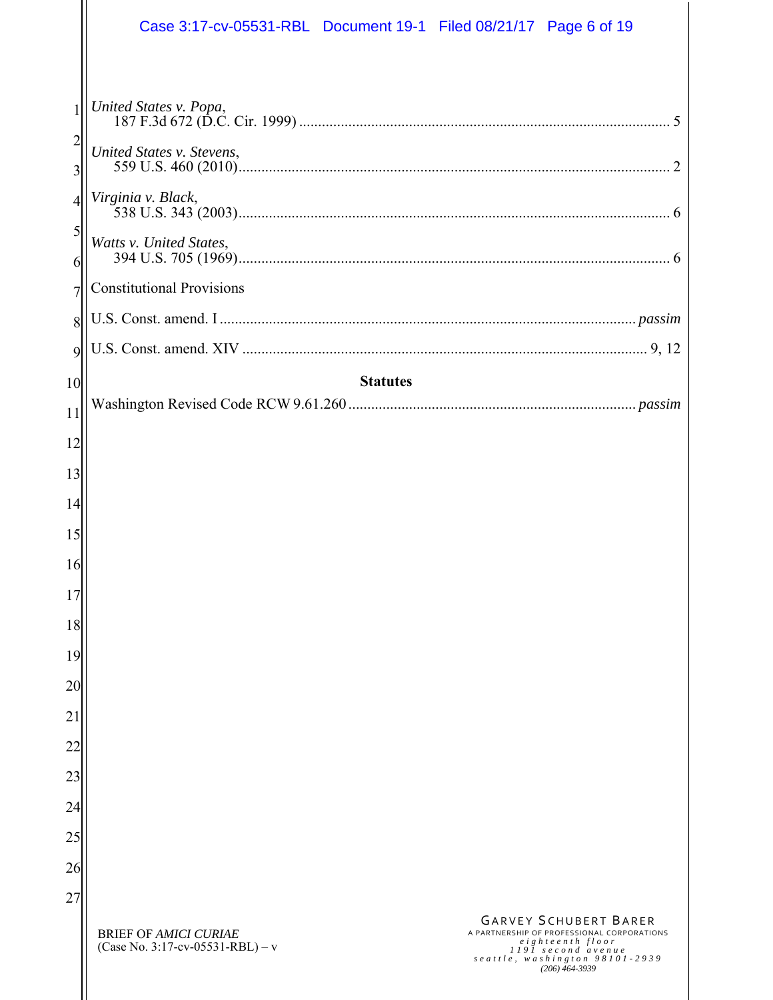|                     | Case 3:17-cv-05531-RBL Document 19-1 Filed 08/21/17 Page 6 of 19                                                                                                                                                                               |
|---------------------|------------------------------------------------------------------------------------------------------------------------------------------------------------------------------------------------------------------------------------------------|
|                     |                                                                                                                                                                                                                                                |
| 1                   | United States v. Popa,                                                                                                                                                                                                                         |
| $\overline{c}$<br>3 | United States v. Stevens,<br>$\mathcal{D}_{\mathcal{L}}$                                                                                                                                                                                       |
| $\overline{4}$      | Virginia v. Black,                                                                                                                                                                                                                             |
| 5<br>6              | Watts v. United States,                                                                                                                                                                                                                        |
| $\overline{7}$      | <b>Constitutional Provisions</b>                                                                                                                                                                                                               |
| 8                   |                                                                                                                                                                                                                                                |
| 9                   |                                                                                                                                                                                                                                                |
| 10                  | <b>Statutes</b>                                                                                                                                                                                                                                |
| 11                  |                                                                                                                                                                                                                                                |
| 12                  |                                                                                                                                                                                                                                                |
| 13                  |                                                                                                                                                                                                                                                |
| 14                  |                                                                                                                                                                                                                                                |
| 15                  |                                                                                                                                                                                                                                                |
| 16                  |                                                                                                                                                                                                                                                |
| 17                  |                                                                                                                                                                                                                                                |
| 18                  |                                                                                                                                                                                                                                                |
| 19                  |                                                                                                                                                                                                                                                |
| 20                  |                                                                                                                                                                                                                                                |
| 21                  |                                                                                                                                                                                                                                                |
| 22                  |                                                                                                                                                                                                                                                |
| 23                  |                                                                                                                                                                                                                                                |
| 24                  |                                                                                                                                                                                                                                                |
| 25                  |                                                                                                                                                                                                                                                |
| 26                  |                                                                                                                                                                                                                                                |
| 27                  |                                                                                                                                                                                                                                                |
|                     | <b>GARVEY SCHUBERT BARER</b><br>A PARTNERSHIP OF PROFESSIONAL CORPORATIONS<br><b>BRIEF OF AMICI CURIAE</b><br>eighteenth floor<br>(Case No. 3:17-cv-05531-RBL) – v<br>1191 second avenue<br>seattle, washington 98101-2939<br>$(206)$ 464-3939 |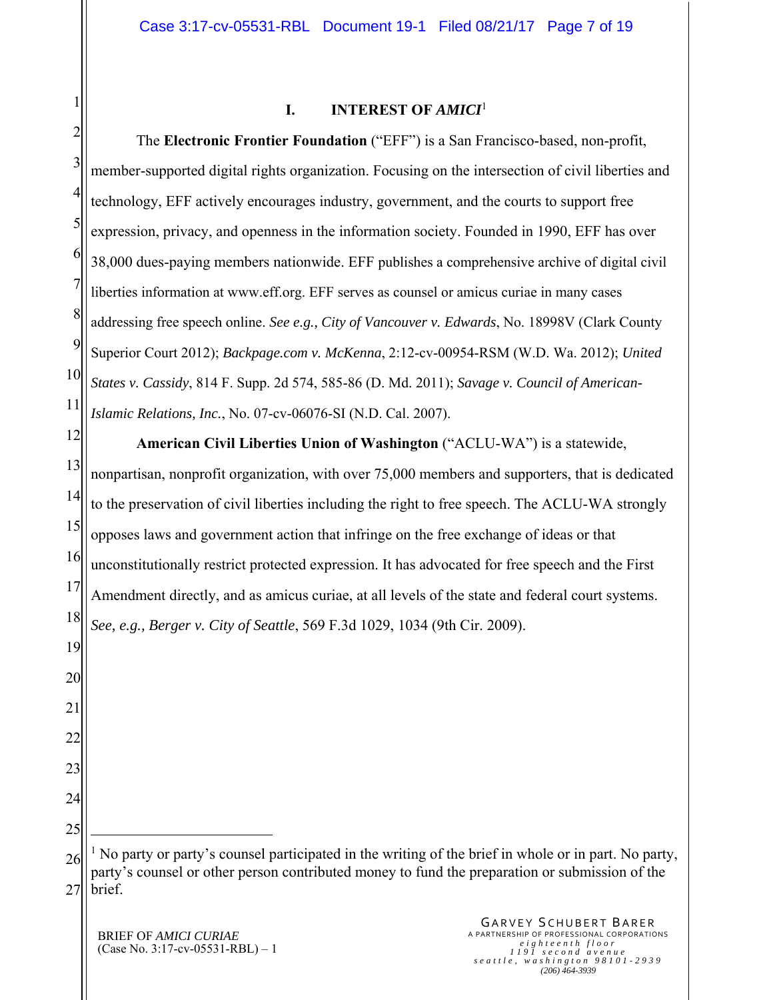| 2 |  |
|---|--|

#### **I. INTEREST OF** *AMICI*<sup>1</sup>

3 4 5 6 7 8 9 10 11 12 13 14 15 16 17 18 19 20 21 22 23 24 25 26 27 The **Electronic Frontier Foundation** ("EFF") is a San Francisco-based, non-profit, member-supported digital rights organization. Focusing on the intersection of civil liberties and technology, EFF actively encourages industry, government, and the courts to support free expression, privacy, and openness in the information society. Founded in 1990, EFF has over 38,000 dues-paying members nationwide. EFF publishes a comprehensive archive of digital civil liberties information at www.eff.org. EFF serves as counsel or amicus curiae in many cases addressing free speech online. *See e.g., City of Vancouver v. Edwards*, No. 18998V (Clark County Superior Court 2012); *Backpage.com v. McKenna*, 2:12-cv-00954-RSM (W.D. Wa. 2012); *United States v. Cassidy*, 814 F. Supp. 2d 574, 585-86 (D. Md. 2011); *Savage v. Council of American-Islamic Relations, Inc.*, No. 07-cv-06076-SI (N.D. Cal. 2007). **American Civil Liberties Union of Washington** ("ACLU-WA") is a statewide, nonpartisan, nonprofit organization, with over 75,000 members and supporters, that is dedicated to the preservation of civil liberties including the right to free speech. The ACLU-WA strongly opposes laws and government action that infringe on the free exchange of ideas or that unconstitutionally restrict protected expression. It has advocated for free speech and the First Amendment directly, and as amicus curiae, at all levels of the state and federal court systems. *See, e.g., Berger v. City of Seattle*, 569 F.3d 1029, 1034 (9th Cir. 2009).  $\overline{a}$ <sup>1</sup> No party or party's counsel participated in the writing of the brief in whole or in part. No party, party's counsel or other person contributed money to fund the preparation or submission of the brief.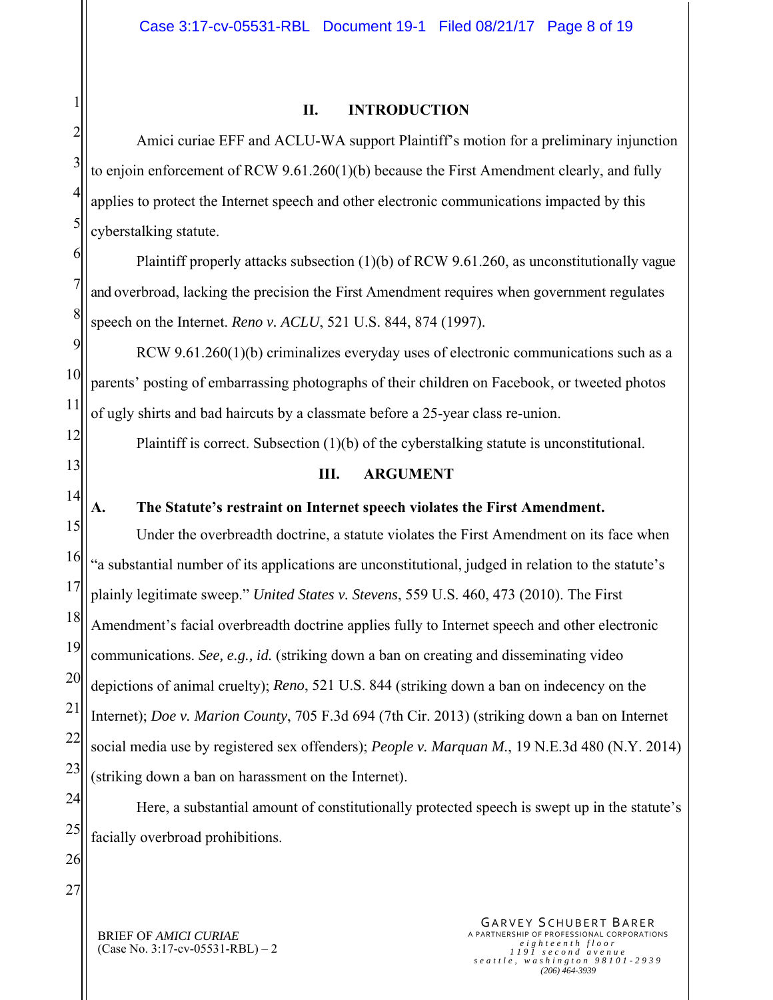# 1 2 3 4 5 6 7 8 9 10

12

13

14

#### **II. INTRODUCTION**

Amici curiae EFF and ACLU-WA support Plaintiff's motion for a preliminary injunction to enjoin enforcement of RCW 9.61.260(1)(b) because the First Amendment clearly, and fully applies to protect the Internet speech and other electronic communications impacted by this cyberstalking statute.

Plaintiff properly attacks subsection (1)(b) of RCW 9.61.260, as unconstitutionally vague and overbroad, lacking the precision the First Amendment requires when government regulates speech on the Internet. *Reno v. ACLU*, 521 U.S. 844, 874 (1997).

11 RCW 9.61.260(1)(b) criminalizes everyday uses of electronic communications such as a parents' posting of embarrassing photographs of their children on Facebook, or tweeted photos of ugly shirts and bad haircuts by a classmate before a 25-year class re-union.

Plaintiff is correct. Subsection (1)(b) of the cyberstalking statute is unconstitutional.

#### **III. ARGUMENT**

#### **A. The Statute's restraint on Internet speech violates the First Amendment.**

15 16 17 18 19 20 21 22 23 Under the overbreadth doctrine, a statute violates the First Amendment on its face when "a substantial number of its applications are unconstitutional, judged in relation to the statute's plainly legitimate sweep." *United States v. Stevens*, 559 U.S. 460, 473 (2010). The First Amendment's facial overbreadth doctrine applies fully to Internet speech and other electronic communications. *See, e.g., id.* (striking down a ban on creating and disseminating video depictions of animal cruelty); *Reno*, 521 U.S. 844 (striking down a ban on indecency on the Internet); *Doe v. Marion County*, 705 F.3d 694 (7th Cir. 2013) (striking down a ban on Internet social media use by registered sex offenders); *People v. Marquan M.*, 19 N.E.3d 480 (N.Y. 2014) (striking down a ban on harassment on the Internet).

24 25 Here, a substantial amount of constitutionally protected speech is swept up in the statute's facially overbroad prohibitions.

26 27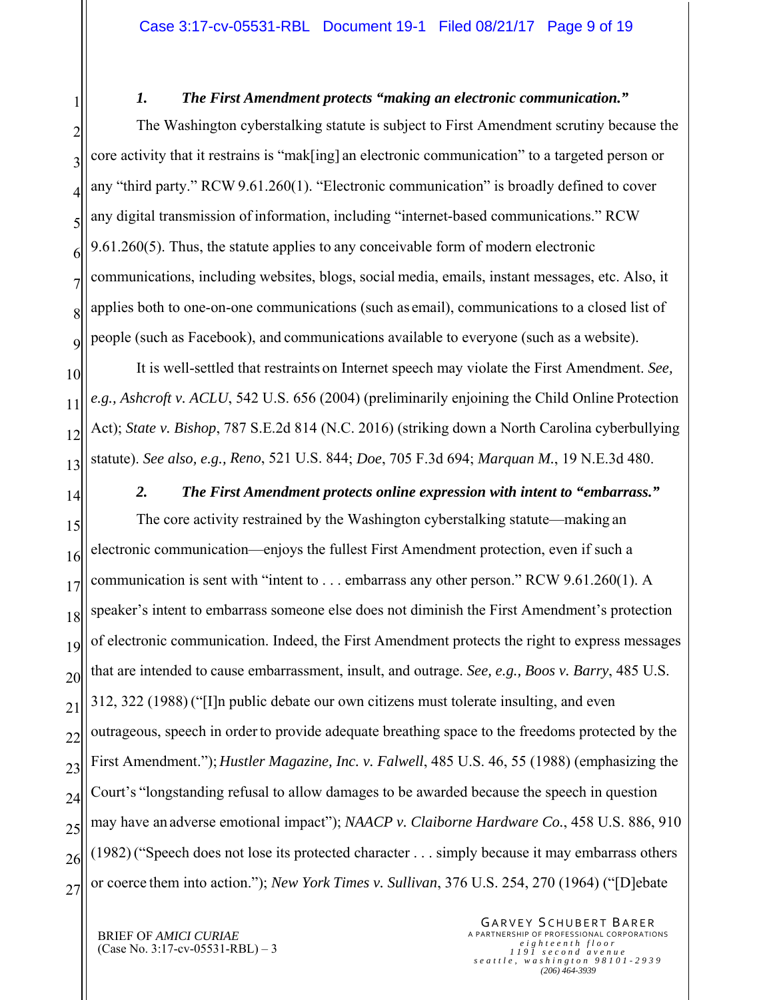#### *1. The First Amendment protects "making an electronic communication."*

2 3 4 5 6 7 8 9 The Washington cyberstalking statute is subject to First Amendment scrutiny because the core activity that it restrains is "mak[ing] an electronic communication" to a targeted person or any "third party." RCW 9.61.260(1). "Electronic communication" is broadly defined to cover any digital transmission of information, including "internet-based communications." RCW 9.61.260(5). Thus, the statute applies to any conceivable form of modern electronic communications, including websites, blogs, social media, emails, instant messages, etc. Also, it applies both to one-on-one communications (such as email), communications to a closed list of people (such as Facebook), and communications available to everyone (such as a website).

10 11 12 13 It is well-settled that restraints on Internet speech may violate the First Amendment. *See, e.g., Ashcroft v. ACLU*, 542 U.S. 656 (2004) (preliminarily enjoining the Child Online Protection Act); *State v. Bishop*, 787 S.E.2d 814 (N.C. 2016) (striking down a North Carolina cyberbullying statute). *See also, e.g., Reno*, 521 U.S. 844; *Doe*, 705 F.3d 694; *Marquan M.*, 19 N.E.3d 480.

14

1

*2. The First Amendment protects online expression with intent to "embarrass."* 

15 16 17 18 19 20 21 22 23 24 25 26 27 The core activity restrained by the Washington cyberstalking statute—making an electronic communication—enjoys the fullest First Amendment protection, even if such a communication is sent with "intent to . . . embarrass any other person." RCW 9.61.260(1). A speaker's intent to embarrass someone else does not diminish the First Amendment's protection of electronic communication. Indeed, the First Amendment protects the right to express messages that are intended to cause embarrassment, insult, and outrage. *See, e.g., Boos v. Barry*, 485 U.S. 312, 322 (1988) ("[I]n public debate our own citizens must tolerate insulting, and even outrageous, speech in order to provide adequate breathing space to the freedoms protected by the First Amendment."); *Hustler Magazine, Inc. v. Falwell*, 485 U.S. 46, 55 (1988) (emphasizing the Court's "longstanding refusal to allow damages to be awarded because the speech in question may have an adverse emotional impact"); *NAACP v. Claiborne Hardware Co.*, 458 U.S. 886, 910 (1982) ("Speech does not lose its protected character . . . simply because it may embarrass others or coerce them into action."); *New York Times v. Sullivan*, 376 U.S. 254, 270 (1964) ("[D]ebate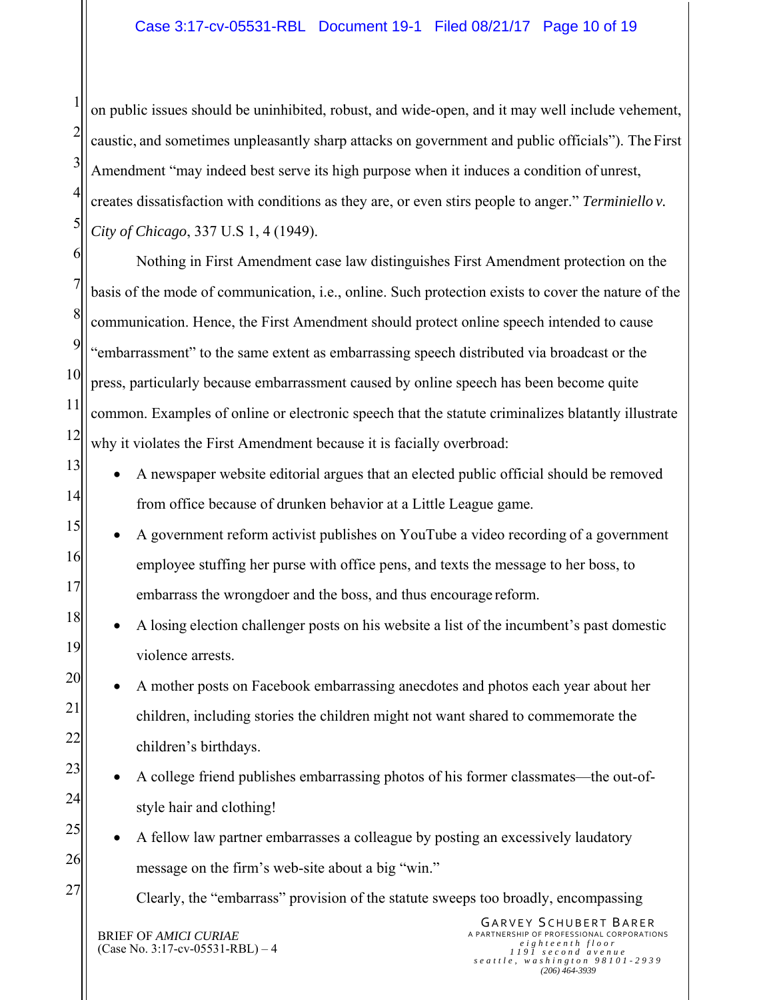1 2 3 4 5 on public issues should be uninhibited, robust, and wide-open, and it may well include vehement, caustic, and sometimes unpleasantly sharp attacks on government and public officials"). The First Amendment "may indeed best serve its high purpose when it induces a condition of unrest, creates dissatisfaction with conditions as they are, or even stirs people to anger." *Terminiello v. City of Chicago*, 337 U.S 1, 4 (1949).

6 7 8 9 10 11 12 Nothing in First Amendment case law distinguishes First Amendment protection on the basis of the mode of communication, i.e., online. Such protection exists to cover the nature of the communication. Hence, the First Amendment should protect online speech intended to cause "embarrassment" to the same extent as embarrassing speech distributed via broadcast or the press, particularly because embarrassment caused by online speech has been become quite common. Examples of online or electronic speech that the statute criminalizes blatantly illustrate why it violates the First Amendment because it is facially overbroad:

- A newspaper website editorial argues that an elected public official should be removed from office because of drunken behavior at a Little League game.
- 15 16 17 A government reform activist publishes on YouTube a video recording of a government employee stuffing her purse with office pens, and texts the message to her boss, to embarrass the wrongdoer and the boss, and thus encourage reform.
	- A losing election challenger posts on his website a list of the incumbent's past domestic violence arrests.

 A mother posts on Facebook embarrassing anecdotes and photos each year about her children, including stories the children might not want shared to commemorate the children's birthdays.

- A college friend publishes embarrassing photos of his former classmates—the out-ofstyle hair and clothing!
- A fellow law partner embarrasses a colleague by posting an excessively laudatory message on the firm's web-site about a big "win."

Clearly, the "embarrass" provision of the statute sweeps too broadly, encompassing

BRIEF OF *AMICI CURIAE* (Case No. 3:17-cv-05531-RBL) – 4

13

14

18

19

20

21

22

23

24

25

26

27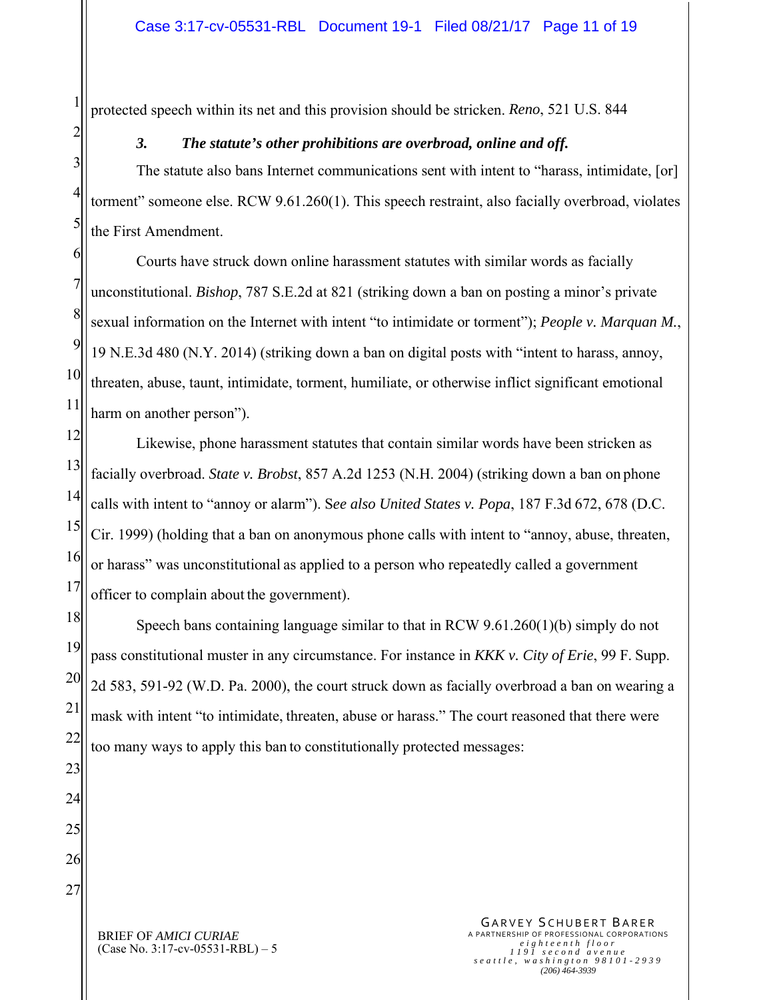protected speech within its net and this provision should be stricken. *Reno*, 521 U.S. 844

#### *3. The statute's other prohibitions are overbroad, online and off.*

3 The statute also bans Internet communications sent with intent to "harass, intimidate, [or] torment" someone else. RCW 9.61.260(1). This speech restraint, also facially overbroad, violates the First Amendment.

6 7 8 9 10 11 Courts have struck down online harassment statutes with similar words as facially unconstitutional. *Bishop*, 787 S.E.2d at 821 (striking down a ban on posting a minor's private sexual information on the Internet with intent "to intimidate or torment"); *People v. Marquan M.*, 19 N.E.3d 480 (N.Y. 2014) (striking down a ban on digital posts with "intent to harass, annoy, threaten, abuse, taunt, intimidate, torment, humiliate, or otherwise inflict significant emotional harm on another person").

12 13 14 15 16 17 Likewise, phone harassment statutes that contain similar words have been stricken as facially overbroad. *State v. Brobst*, 857 A.2d 1253 (N.H. 2004) (striking down a ban on phone calls with intent to "annoy or alarm"). S*ee also United States v. Popa*, 187 F.3d 672, 678 (D.C. Cir. 1999) (holding that a ban on anonymous phone calls with intent to "annoy, abuse, threaten, or harass" was unconstitutional as applied to a person who repeatedly called a government officer to complain about the government).

18 19 20 21 Speech bans containing language similar to that in RCW 9.61.260(1)(b) simply do not pass constitutional muster in any circumstance. For instance in *KKK v. City of Erie*, 99 F. Supp. 2d 583, 591-92 (W.D. Pa. 2000), the court struck down as facially overbroad a ban on wearing a mask with intent "to intimidate, threaten, abuse or harass." The court reasoned that there were too many ways to apply this ban to constitutionally protected messages:

27

1

2

4

5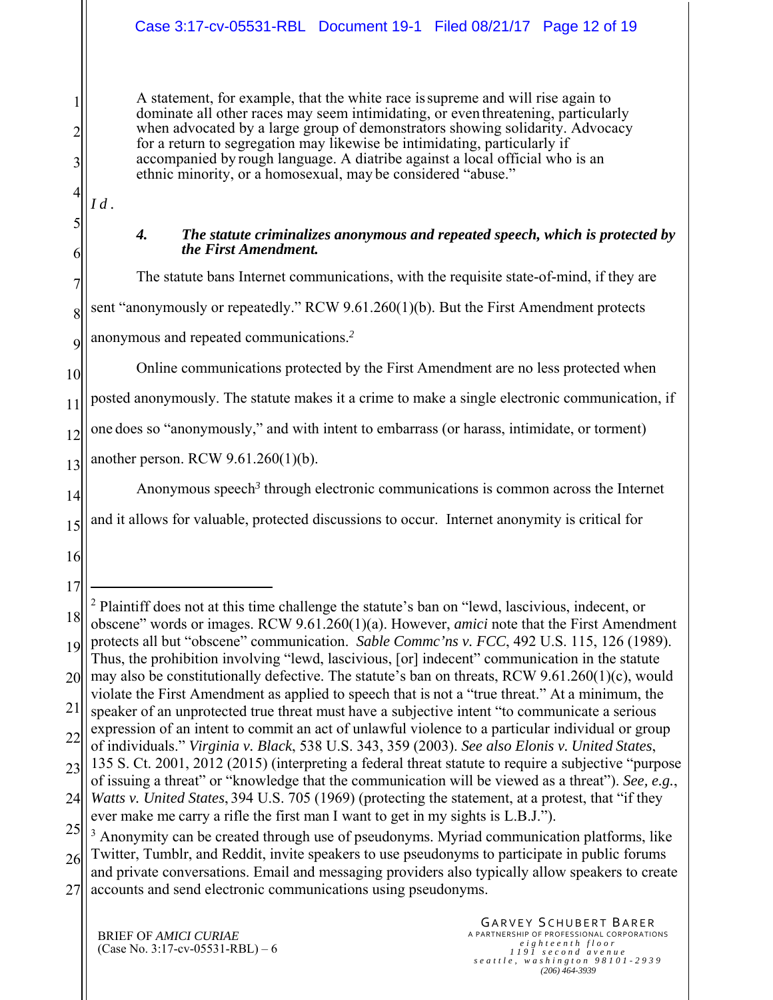A statement, for example, that the white race is supreme and will rise again to dominate all other races may seem intimidating, or even threatening, particularly when advocated by a large group of demonstrators showing solidarity. Advocacy for a return to segregation may likewise be intimidating, particularly if accompanied by rough language. A diatribe against a local official who is an ethnic minority, or a homosexual, may be considered "abuse."

4 5

6

7

8

9

10

1

2

3

*Id.* 

#### *4. The statute criminalizes anonymous and repeated speech, which is protected by the First Amendment.*

The statute bans Internet communications, with the requisite state-of-mind, if they are sent "anonymously or repeatedly." RCW 9.61.260(1)(b). But the First Amendment protects anonymous and repeated communications.*<sup>2</sup>*

Online communications protected by the First Amendment are no less protected when

11 posted anonymously. The statute makes it a crime to make a single electronic communication, if

12 one does so "anonymously," and with intent to embarrass (or harass, intimidate, or torment)

13 another person. RCW 9.61.260(1)(b).

14 Anonymous speech*<sup>3</sup>* through electronic communications is common across the Internet

15 and it allows for valuable, protected discussions to occur. Internet anonymity is critical for

- 16
- 17 18 19 20  $\overline{a}$ <sup>2</sup> Plaintiff does not at this time challenge the statute's ban on "lewd, lascivious, indecent, or obscene" words or images. RCW 9.61.260(1)(a). However, *amici* note that the First Amendment protects all but "obscene" communication. *Sable Commc'ns v. FCC*, 492 U.S. 115, 126 (1989). Thus, the prohibition involving "lewd, lascivious, [or] indecent" communication in the statute may also be constitutionally defective. The statute's ban on threats, RCW 9.61.260(1)(c), would
- 21 violate the First Amendment as applied to speech that is not a "true threat." At a minimum, the speaker of an unprotected true threat must have a subjective intent "to communicate a serious
- 22 expression of an intent to commit an act of unlawful violence to a particular individual or group

<sup>23</sup> of individuals." *Virginia v. Black*, 538 U.S. 343, 359 (2003). *See also Elonis v. United States*, 135 S. Ct. 2001, 2012 (2015) (interpreting a federal threat statute to require a subjective "purpose of issuing a threat" or "knowledge that the communication will be viewed as a threat"). *See, e.g.*,

<sup>24</sup> *Watts v. United States*, 394 U.S. 705 (1969) (protecting the statement, at a protest, that "if they ever make me carry a rifle the first man I want to get in my sights is L.B.J.").

<sup>25</sup> 26 <sup>3</sup> Anonymity can be created through use of pseudonyms. Myriad communication platforms, like Twitter, Tumblr, and Reddit, invite speakers to use pseudonyms to participate in public forums

<sup>27</sup> and private conversations. Email and messaging providers also typically allow speakers to create accounts and send electronic communications using pseudonyms.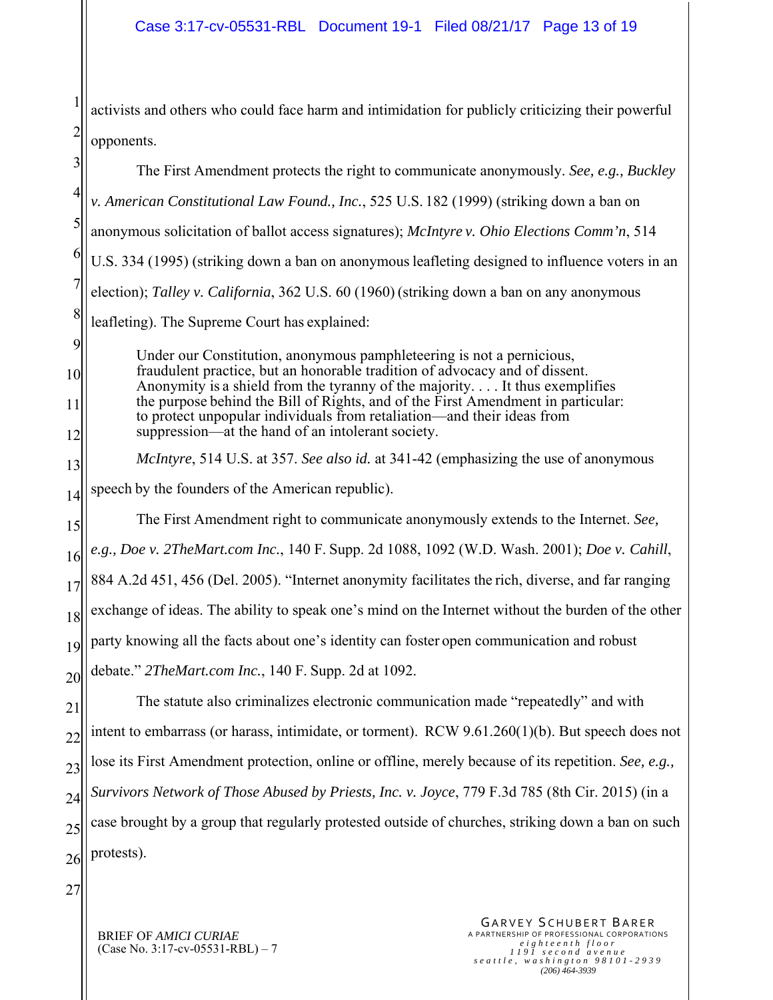1 2 activists and others who could face harm and intimidation for publicly criticizing their powerful opponents.

3 4 5 6 7 8 9 10 11 12 13 14 15 16 17 18 19 20 21 22 23 24 25 26 The First Amendment protects the right to communicate anonymously. *See, e.g., Buckley v. American Constitutional Law Found., Inc.*, 525 U.S. 182 (1999) (striking down a ban on anonymous solicitation of ballot access signatures); *McIntyre v. Ohio Elections Comm'n*, 514 U.S. 334 (1995) (striking down a ban on anonymous leafleting designed to influence voters in an election); *Talley v. California*, 362 U.S. 60 (1960) (striking down a ban on any anonymous leafleting). The Supreme Court has explained: Under our Constitution, anonymous pamphleteering is not a pernicious, fraudulent practice, but an honorable tradition of advocacy and of dissent. Anonymity is a shield from the tyranny of the majority. . . . It thus exemplifies the purpose behind the Bill of Rights, and of the First Amendment in particular: to protect unpopular individuals from retaliation—and their ideas from suppression—at the hand of an intolerant society. *McIntyre*, 514 U.S. at 357. *See also id.* at 341-42 (emphasizing the use of anonymous speech by the founders of the American republic). The First Amendment right to communicate anonymously extends to the Internet. *See, e.g., Doe v. 2TheMart.com Inc.*, 140 F. Supp. 2d 1088, 1092 (W.D. Wash. 2001); *Doe v. Cahill*, 884 A.2d 451, 456 (Del. 2005). "Internet anonymity facilitates the rich, diverse, and far ranging exchange of ideas. The ability to speak one's mind on the Internet without the burden of the other party knowing all the facts about one's identity can foster open communication and robust debate." *2TheMart.com Inc.*, 140 F. Supp. 2d at 1092. The statute also criminalizes electronic communication made "repeatedly" and with intent to embarrass (or harass, intimidate, or torment). RCW 9.61.260(1)(b). But speech does not lose its First Amendment protection, online or offline, merely because of its repetition. *See, e.g., Survivors Network of Those Abused by Priests, Inc. v. Joyce*, 779 F.3d 785 (8th Cir. 2015) (in a case brought by a group that regularly protested outside of churches, striking down a ban on such protests).

27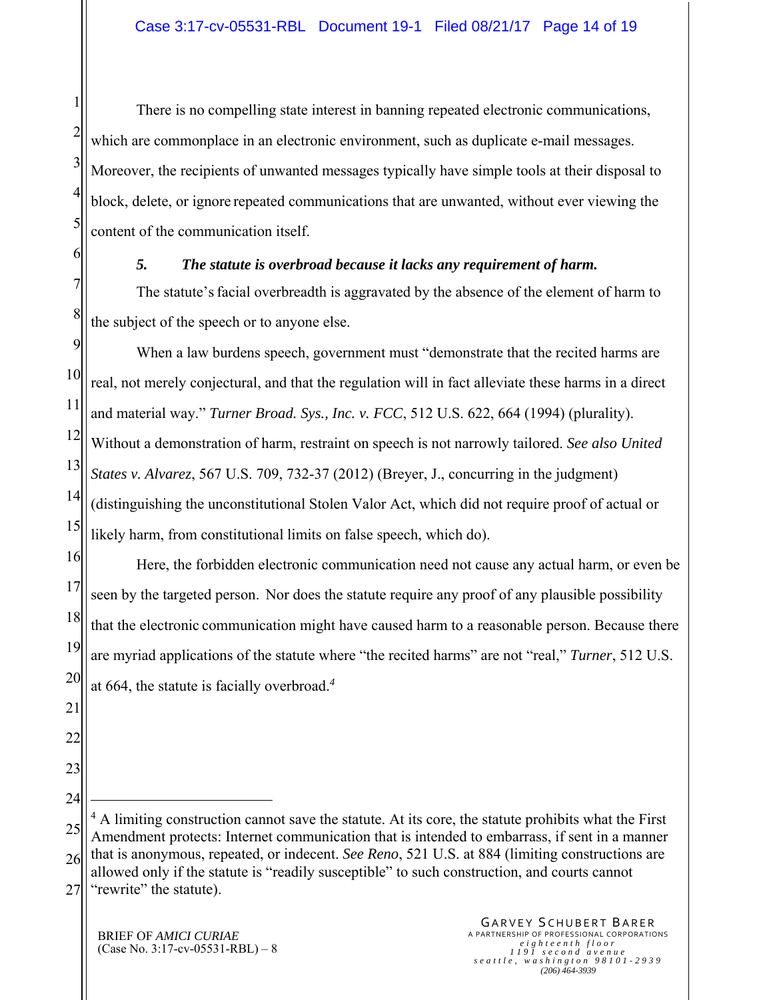2 5 There is no compelling state interest in banning repeated electronic communications, which are commonplace in an electronic environment, such as duplicate e-mail messages. Moreover, the recipients of unwanted messages typically have simple tools at their disposal to block, delete, or ignore repeated communications that are unwanted, without ever viewing the content of the communication itself.

#### *5. The statute is overbroad because it lacks any requirement of harm.*

7 8 The statute's facial overbreadth is aggravated by the absence of the element of harm to the subject of the speech or to anyone else.

9 10 11 12 13 14 15 When a law burdens speech, government must "demonstrate that the recited harms are real, not merely conjectural, and that the regulation will in fact alleviate these harms in a direct and material way." *Turner Broad. Sys., Inc. v. FCC*, 512 U.S. 622, 664 (1994) (plurality). Without a demonstration of harm, restraint on speech is not narrowly tailored. *See also United States v. Alvarez*, 567 U.S. 709, 732-37 (2012) (Breyer, J., concurring in the judgment) (distinguishing the unconstitutional Stolen Valor Act, which did not require proof of actual or likely harm, from constitutional limits on false speech, which do).

16 17 18 19 20 Here, the forbidden electronic communication need not cause any actual harm, or even be seen by the targeted person. Nor does the statute require any proof of any plausible possibility that the electronic communication might have caused harm to a reasonable person. Because there are myriad applications of the statute where "the recited harms" are not "real," *Turner*, 512 U.S. at 664, the statute is facially overbroad.*<sup>4</sup>*

25 26 27 <sup>4</sup> A limiting construction cannot save the statute. At its core, the statute prohibits what the First Amendment protects: Internet communication that is intended to embarrass, if sent in a manner that is anonymous, repeated, or indecent. *See Reno*, 521 U.S. at 884 (limiting constructions are allowed only if the statute is "readily susceptible" to such construction, and courts cannot "rewrite" the statute).

1

3

4

6

21

22

23

24

1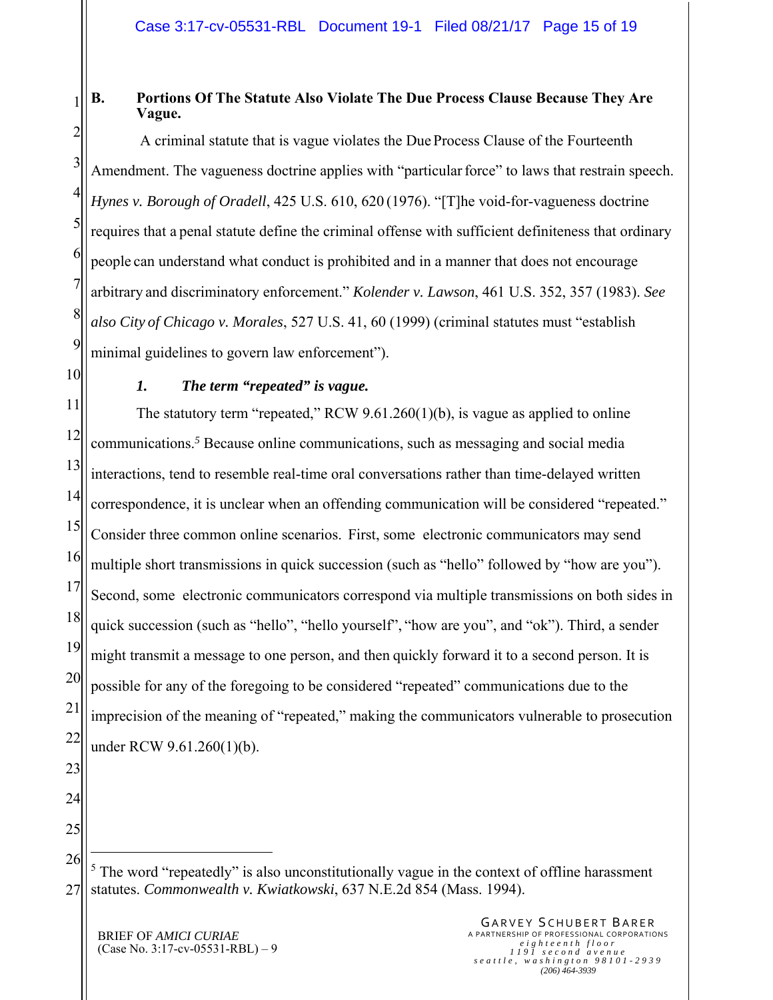#### 1 **B. Portions Of The Statute Also Violate The Due Process Clause Because They Are Vague.**

2 3 4 5 6 7 8 9 A criminal statute that is vague violates the Due Process Clause of the Fourteenth Amendment. The vagueness doctrine applies with "particular force" to laws that restrain speech. *Hynes v. Borough of Oradell*, 425 U.S. 610, 620 (1976). "[T]he void-for-vagueness doctrine requires that a penal statute define the criminal offense with sufficient definiteness that ordinary people can understand what conduct is prohibited and in a manner that does not encourage arbitrary and discriminatory enforcement." *Kolender v. Lawson*, 461 U.S. 352, 357 (1983). *See also City of Chicago v. Morales*, 527 U.S. 41, 60 (1999) (criminal statutes must "establish minimal guidelines to govern law enforcement").

10

#### *1. The term "repeated" is vague.*

11 12 13 14 15 16 17 18 19 20 21 22 The statutory term "repeated," RCW 9.61.260(1)(b), is vague as applied to online communications.*<sup>5</sup>* Because online communications, such as messaging and social media interactions, tend to resemble real-time oral conversations rather than time-delayed written correspondence, it is unclear when an offending communication will be considered "repeated." Consider three common online scenarios. First, some electronic communicators may send multiple short transmissions in quick succession (such as "hello" followed by "how are you"). Second, some electronic communicators correspond via multiple transmissions on both sides in quick succession (such as "hello", "hello yourself", "how are you", and "ok"). Third, a sender might transmit a message to one person, and then quickly forward it to a second person. It is possible for any of the foregoing to be considered "repeated" communications due to the imprecision of the meaning of "repeated," making the communicators vulnerable to prosecution under RCW 9.61.260(1)(b).

- 23
- 24 25

<u>.</u>

26 27  $<sup>5</sup>$  The word "repeatedly" is also unconstitutionally vague in the context of offline harassment</sup> statutes. *Commonwealth v. Kwiatkowski*, 637 N.E.2d 854 (Mass. 1994).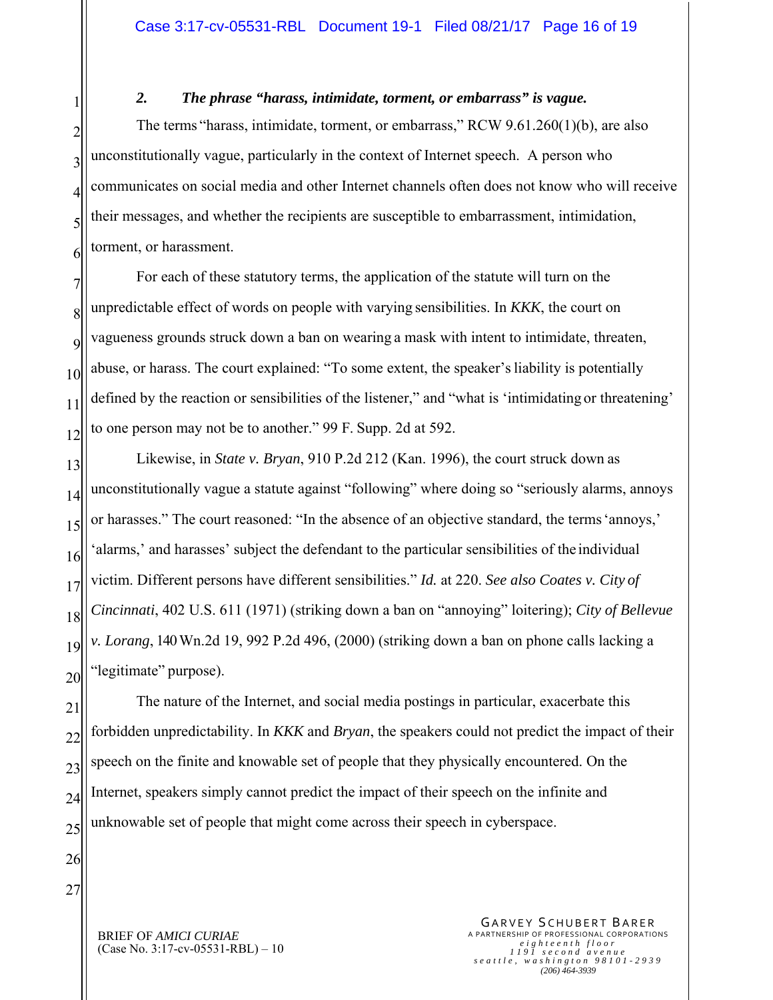*2. The phrase "harass, intimidate, torment, or embarrass" is vague.* 

2 3 4 5 6 The terms "harass, intimidate, torment, or embarrass," RCW 9.61.260(1)(b), are also unconstitutionally vague, particularly in the context of Internet speech. A person who communicates on social media and other Internet channels often does not know who will receive their messages, and whether the recipients are susceptible to embarrassment, intimidation, torment, or harassment.

7 8  $\overline{Q}$ 10 11 12 For each of these statutory terms, the application of the statute will turn on the unpredictable effect of words on people with varying sensibilities. In *KKK*, the court on vagueness grounds struck down a ban on wearing a mask with intent to intimidate, threaten, abuse, or harass. The court explained: "To some extent, the speaker's liability is potentially defined by the reaction or sensibilities of the listener," and "what is 'intimidating or threatening' to one person may not be to another." 99 F. Supp. 2d at 592.

13 14 15 16 17 18 19 20 Likewise, in *State v. Bryan*, 910 P.2d 212 (Kan. 1996), the court struck down as unconstitutionally vague a statute against "following" where doing so "seriously alarms, annoys or harasses." The court reasoned: "In the absence of an objective standard, the terms 'annoys,' 'alarms,' and harasses' subject the defendant to the particular sensibilities of the individual victim. Different persons have different sensibilities." *Id.* at 220. *See also Coates v. City of Cincinnati*, 402 U.S. 611 (1971) (striking down a ban on "annoying" loitering); *City of Bellevue v. Lorang*, 140 Wn.2d 19, 992 P.2d 496, (2000) (striking down a ban on phone calls lacking a "legitimate" purpose).

21 22 23 24 25 The nature of the Internet, and social media postings in particular, exacerbate this forbidden unpredictability. In *KKK* and *Bryan*, the speakers could not predict the impact of their speech on the finite and knowable set of people that they physically encountered. On the Internet, speakers simply cannot predict the impact of their speech on the infinite and unknowable set of people that might come across their speech in cyberspace.

26 27

1

BRIEF OF *AMICI CURIAE* (Case No. 3:17-cv-05531-RBL) – 10

GARVEY SCHUBERT BARER A PARTNERSHIP OF PROFESSIONAL CORPORATIONS *eighteenth floor 1191 second avenue seattle, washington 98101-2939 (206) 464-3939*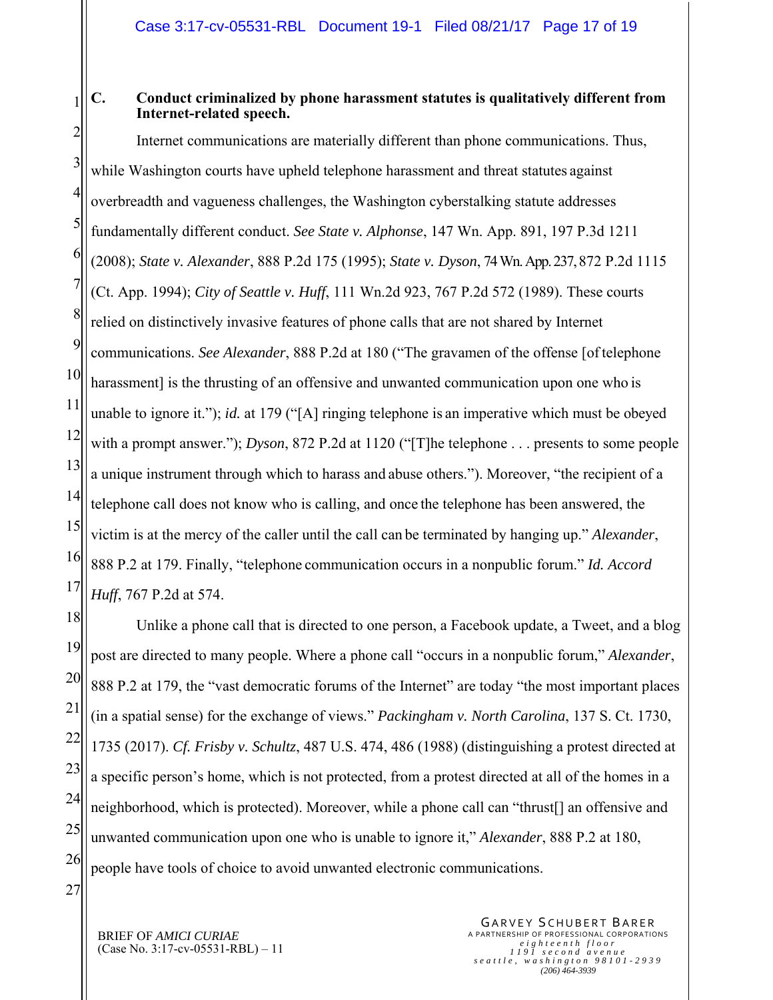#### **C. Conduct criminalized by phone harassment statutes is qualitatively different from Internet-related speech.**

2 3 4 5 6 7 8 9 10 11 12 13 14 15 16 17 Internet communications are materially different than phone communications. Thus, while Washington courts have upheld telephone harassment and threat statutes against overbreadth and vagueness challenges, the Washington cyberstalking statute addresses fundamentally different conduct. *See State v. Alphonse*, 147 Wn. App. 891, 197 P.3d 1211 (2008); *State v. Alexander*, 888 P.2d 175 (1995); *State v. Dyson*, 74 Wn. App. 237, 872 P.2d 1115 (Ct. App. 1994); *City of Seattle v. Huff*, 111 Wn.2d 923, 767 P.2d 572 (1989). These courts relied on distinctively invasive features of phone calls that are not shared by Internet communications. *See Alexander*, 888 P.2d at 180 ("The gravamen of the offense [of telephone harassment is the thrusting of an offensive and unwanted communication upon one who is unable to ignore it."); *id.* at 179 ("[A] ringing telephone is an imperative which must be obeyed with a prompt answer."); *Dyson*, 872 P.2d at 1120 ("[T]he telephone . . . presents to some people a unique instrument through which to harass and abuse others."). Moreover, "the recipient of a telephone call does not know who is calling, and once the telephone has been answered, the victim is at the mercy of the caller until the call can be terminated by hanging up." *Alexander*, 888 P.2 at 179. Finally, "telephone communication occurs in a nonpublic forum." *Id. Accord Huff*, 767 P.2d at 574.

18 19 20 21 22 23 24 25 26 Unlike a phone call that is directed to one person, a Facebook update, a Tweet, and a blog post are directed to many people. Where a phone call "occurs in a nonpublic forum," *Alexander*, 888 P.2 at 179, the "vast democratic forums of the Internet" are today "the most important places (in a spatial sense) for the exchange of views." *Packingham v. North Carolina*, 137 S. Ct. 1730, 1735 (2017). *Cf. Frisby v. Schultz*, 487 U.S. 474, 486 (1988) (distinguishing a protest directed at a specific person's home, which is not protected, from a protest directed at all of the homes in a neighborhood, which is protected). Moreover, while a phone call can "thrust[] an offensive and unwanted communication upon one who is unable to ignore it," *Alexander*, 888 P.2 at 180, people have tools of choice to avoid unwanted electronic communications.

27

1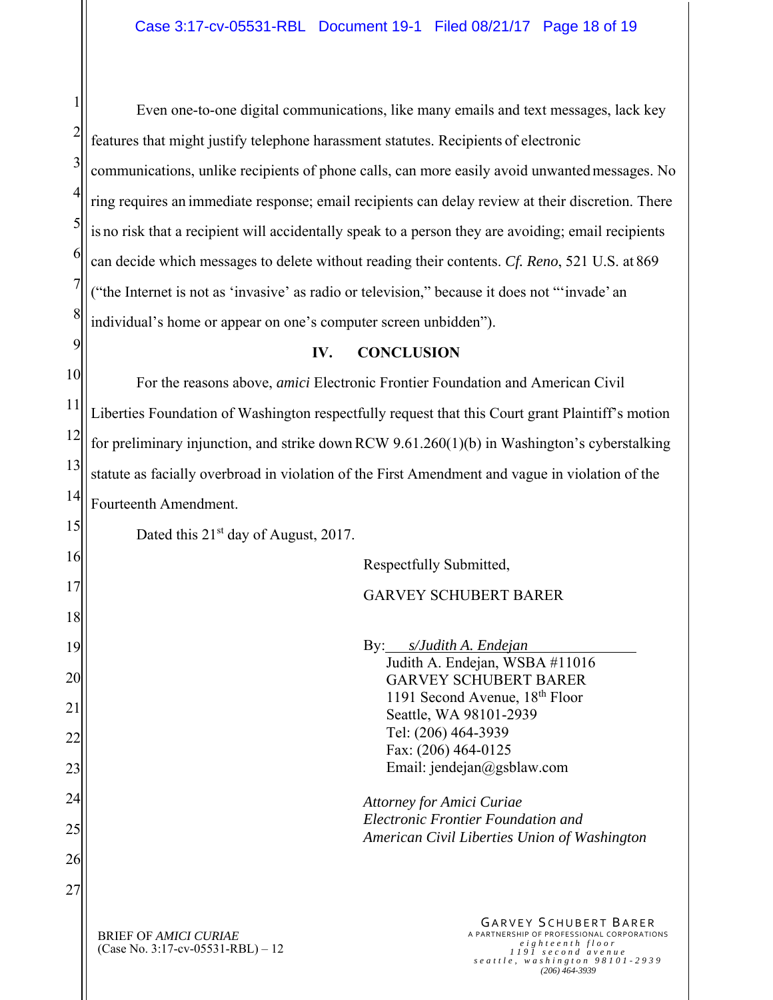1 2 3 4 5 6 7 8 Even one-to-one digital communications, like many emails and text messages, lack key features that might justify telephone harassment statutes. Recipients of electronic communications, unlike recipients of phone calls, can more easily avoid unwanted messages. No ring requires an immediate response; email recipients can delay review at their discretion. There is no risk that a recipient will accidentally speak to a person they are avoiding; email recipients can decide which messages to delete without reading their contents. *Cf. Reno*, 521 U.S. at 869 ("the Internet is not as 'invasive' as radio or television," because it does not "'invade' an individual's home or appear on one's computer screen unbidden").

#### **IV. CONCLUSION**

10 11 12 13 14 For the reasons above, *amici* Electronic Frontier Foundation and American Civil Liberties Foundation of Washington respectfully request that this Court grant Plaintiff's motion for preliminary injunction, and strike down RCW 9.61.260(1)(b) in Washington's cyberstalking statute as facially overbroad in violation of the First Amendment and vague in violation of the Fourteenth Amendment.

Dated this  $21<sup>st</sup>$  day of August, 2017.

9

15

21

24

27

BRIEF OF *AMICI CURIAE* GARVEY SCHUBERT BARER 16 17 18 19 20 22 23 25 26 Respectfully Submitted, GARVEY SCHUBERT BARER By: *s/Judith A. Endejan* Judith A. Endejan, WSBA #11016 GARVEY SCHUBERT BARER 1191 Second Avenue, 18th Floor Seattle, WA 98101-2939 Tel: (206) 464-3939 Fax: (206) 464-0125 Email: jendejan@gsblaw.com *Attorney for Amici Curiae Electronic Frontier Foundation and American Civil Liberties Union of Washington* 

(Case No. 3:17-cv-05531-RBL) – 12

A PARTNERSHIP OF PROFESSIONAL CORPORATIONS *eighteenth floor 1191 second avenue seattle, washington 98101-2939 (206) 464-3939*